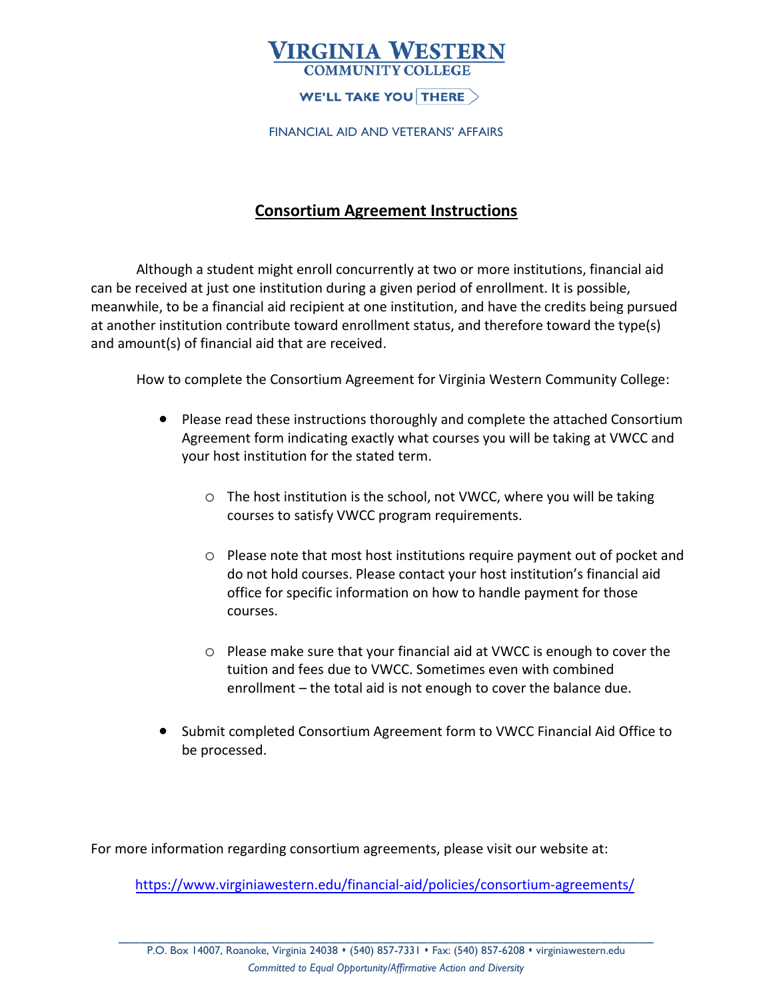# **VIRGINIA WESTERN**

### WE'LL TAKE YOU THERE  $>$

FINANCIAL AID AND VETERANS' AFFAIRS

### **Consortium Agreement Instructions**

Although a student might enroll concurrently at two or more institutions, financial aid can be received at just one institution during a given period of enrollment. It is possible, meanwhile, to be a financial aid recipient at one institution, and have the credits being pursued at another institution contribute toward enrollment status, and therefore toward the type(s) and amount(s) of financial aid that are received.

How to complete the Consortium Agreement for Virginia Western Community College:

- Please read these instructions thoroughly and complete the attached Consortium Agreement form indicating exactly what courses you will be taking at VWCC and your host institution for the stated term.
	- o The host institution is the school, not VWCC, where you will be taking courses to satisfy VWCC program requirements.
	- o Please note that most host institutions require payment out of pocket and do not hold courses. Please contact your host institution's financial aid office for specific information on how to handle payment for those courses.
	- o Please make sure that your financial aid at VWCC is enough to cover the tuition and fees due to VWCC. Sometimes even with combined enrollment – the total aid is not enough to cover the balance due.
- Submit completed Consortium Agreement form to VWCC Financial Aid Office to be processed.

For more information regarding consortium agreements, please visit our website at:

<https://www.virginiawestern.edu/financial-aid/policies/consortium-agreements/>